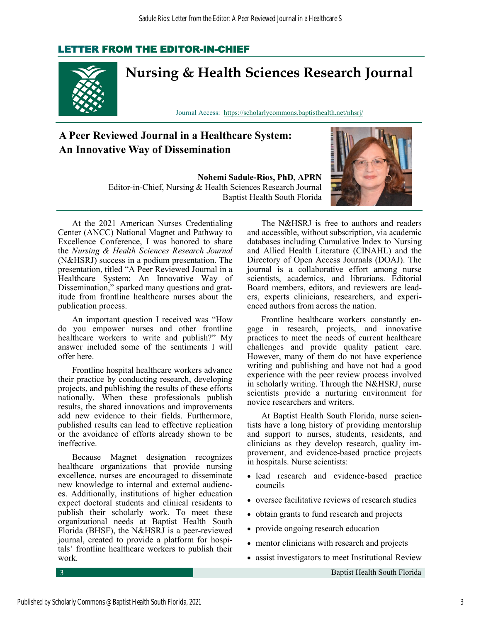### LETTER FROM THE EDITOR-IN-CHIEF



# **Nursing & Health Sciences Research Journal**

Journal Access: <https://scholarlycommons.baptisthealth.net/nhsrj/>

## **A Peer Reviewed Journal in a Healthcare System: An Innovative Way of Dissemination**

**Nohemi Sadule-Rios, PhD, APRN**  Editor-in-Chief, Nursing & Health Sciences Research Journal Baptist Health South Florida



At the 2021 American Nurses Credentialing Center (ANCC) National Magnet and Pathway to Excellence Conference, I was honored to share the *Nursing & Health Sciences Research Journal*  (N&HSRJ) success in a podium presentation. The presentation, titled "A Peer Reviewed Journal in a Healthcare System: An Innovative Way of Dissemination," sparked many questions and gratitude from frontline healthcare nurses about the publication process.

An important question I received was "How do you empower nurses and other frontline healthcare workers to write and publish?" My answer included some of the sentiments I will offer here.

Frontline hospital healthcare workers advance their practice by conducting research, developing projects, and publishing the results of these efforts nationally. When these professionals publish results, the shared innovations and improvements add new evidence to their fields. Furthermore, published results can lead to effective replication or the avoidance of efforts already shown to be ineffective.

Because Magnet designation recognizes healthcare organizations that provide nursing excellence, nurses are encouraged to disseminate new knowledge to internal and external audiences. Additionally, institutions of higher education expect doctoral students and clinical residents to publish their scholarly work. To meet these organizational needs at Baptist Health South Florida (BHSF), the N&HSRJ is a peer-reviewed journal, created to provide a platform for hospitals' frontline healthcare workers to publish their work.

The N&HSRJ is free to authors and readers and accessible, without subscription, via academic databases including Cumulative Index to Nursing and Allied Health Literature (CINAHL) and the Directory of Open Access Journals (DOAJ). The journal is a collaborative effort among nurse scientists, academics, and librarians. Editorial Board members, editors, and reviewers are leaders, experts clinicians, researchers, and experienced authors from across the nation.

Frontline healthcare workers constantly engage in research, projects, and innovative practices to meet the needs of current healthcare challenges and provide quality patient care. However, many of them do not have experience writing and publishing and have not had a good experience with the peer review process involved in scholarly writing. Through the N&HSRJ, nurse scientists provide a nurturing environment for novice researchers and writers.

At Baptist Health South Florida, nurse scientists have a long history of providing mentorship and support to nurses, students, residents, and clinicians as they develop research, quality improvement, and evidence-based practice projects in hospitals. Nurse scientists:

- lead research and evidence-based practice councils
- oversee facilitative reviews of research studies
- obtain grants to fund research and projects
- provide ongoing research education
- mentor clinicians with research and projects
- assist investigators to meet Institutional Review

3 Baptist Health South Florida